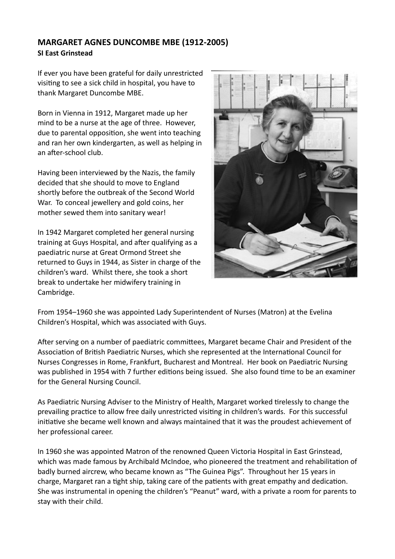## **MARGARET AGNES DUNCOMBE MBE (1912-2005) SI East Grinstead**

If ever you have been grateful for daily unrestricted visiting to see a sick child in hospital, you have to thank Margaret Duncombe MBE.

Born in Vienna in 1912, Margaret made up her mind to be a nurse at the age of three. However, due to parental opposition, she went into teaching and ran her own kindergarten, as well as helping in an after-school club.

Having been interviewed by the Nazis, the family decided that she should to move to England shortly before the outbreak of the Second World War. To conceal jewellery and gold coins, her mother sewed them into sanitary wear!

In 1942 Margaret completed her general nursing training at Guys Hospital, and after qualifying as a paediatric nurse at Great Ormond Street she returned to Guys in 1944, as Sister in charge of the children's ward. Whilst there, she took a short break to undertake her midwifery training in Cambridge.



From 1954–1960 she was appointed Lady Superintendent of Nurses (Matron) at the Evelina Children's Hospital, which was associated with Guys.

After serving on a number of paediatric committees, Margaret became Chair and President of the Association of British Paediatric Nurses, which she represented at the International Council for Nurses Congresses in Rome, Frankfurt, Bucharest and Montreal. Her book on Paediatric Nursing was published in 1954 with 7 further editions being issued. She also found time to be an examiner for the General Nursing Council.

As Paediatric Nursing Adviser to the Ministry of Health, Margaret worked tirelessly to change the prevailing practice to allow free daily unrestricted visiting in children's wards. For this successful initiative she became well known and always maintained that it was the proudest achievement of her professional career.

In 1960 she was appointed Matron of the renowned Queen Victoria Hospital in East Grinstead, which was made famous by Archibald McIndoe, who pioneered the treatment and rehabilitation of badly burned aircrew, who became known as "The Guinea Pigs". Throughout her 15 years in charge, Margaret ran a tight ship, taking care of the patients with great empathy and dedication. She was instrumental in opening the children's "Peanut" ward, with a private a room for parents to stay with their child.